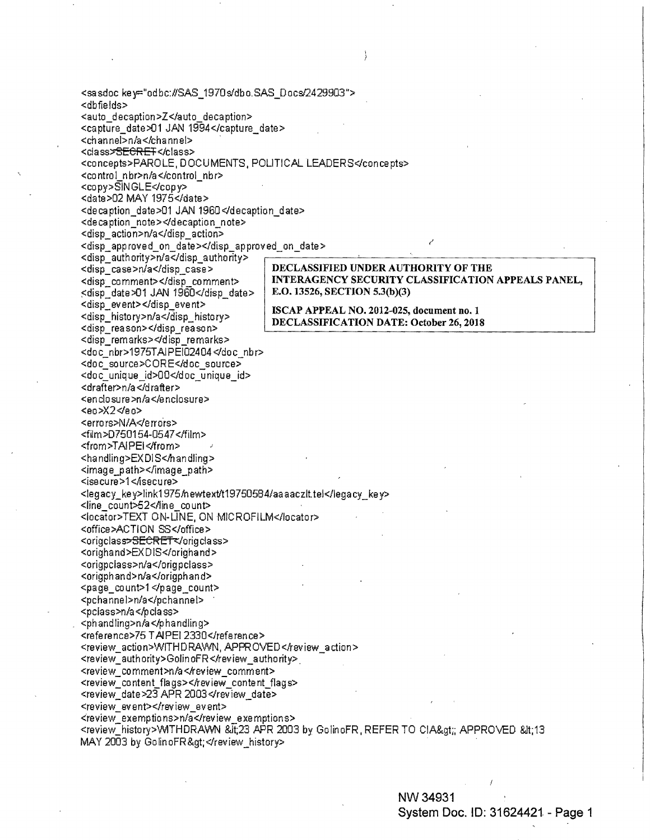<sasdoc key="odbc:#SAS\_1970s/dbo.SAS\_Docs/2429903"> <dbfields> <auto\_decaption>Z</auto\_decaption> <capture\_date>01 JAN 1994</capture\_date> <channel>n/a</channel> <class>SECRET</class> <concepts>PAROLE, DOCUMENTS, POLITICAL LEADERS</concepts> <control nbr>n/a</control nbr> <copy>SINGLE</copy> <date>02 MAY 1975</date> <decaption\_date>01 JAN 1960</decaption\_date> <decaption\_note></decaption\_note> <disp\_action>n/a</disp\_action> <disp\_approved\_on\_date></disp\_approved\_on\_date> <disp authority>n/a</disp authority> <disp\_case>n/a</disp\_case> DECLASSIFIED UNDER AUTHORITY OF THE INTERAGENCY SECURITY CLASSIFICATION APPEALS PANEL, <disp comment></disp comment> E.O. 13526, SECTION 5.3(b)(3) <disp\_date>01 JAN 1960</disp\_date> <disp\_event></disp\_event> ISCAP APPEAL NO. 2012-025, document no. 1 <disp history>n/a</disp history> DECLASSIFICATION DATE: October 26, 2018 <disp reason></disp reason> <disp\_remarks></disp\_remarks> <doc nbr>1975TAIPEI02404</doc nbr> <doc source>CORE</doc source> <doc\_unique\_id>00</doc\_unique\_id> <drafter>n/a</drafter> <enclosure>n/a</enclosure> <eo>X2</eo> <errors>N/A</errors> <film>D750154-0547</film> <from>TAIPEI</from> <handling>EXDIS<handling> <image path></image path> <isecure>1</isecure> <legacy\_key>link1975/hewtext/t19750584/aaaaczlt.tel</legacy\_key> <line\_count>52</line\_count> <locator>TEXT ON-LINE, ON MICROFILM</locator> <office>ACTION SS</office> <origclass>SECRET</origclass> <orighand>EXDIS</orighand> <origpclass>n/a</origpclass> <origphand>n/a</origphand> <page count>1 </page count> <pchannel>n/a</pchannel> <pclass>n/a</pclass> <phandling>n/a</phandling> <reference>75 TAIPEI 2330</reference> <review\_action>WITHDRAWN, APPROVED</review\_action> <review\_authority>GolinoFR</review\_authority> <review\_comment>n/a</review\_comment> <review\_content\_flags></review\_content\_flags> <review\_date>23 APR 2003</review\_date> <review event></review event> <review\_exemptions>n/a</review\_exemptions> <review\_history>VMTHDRAWN &lt;23 APR 2003 by GolinoFR, REFER TO CIA&gt;; APPROVED &lt;13 MAY 2003 by GolinoFR></review\_history>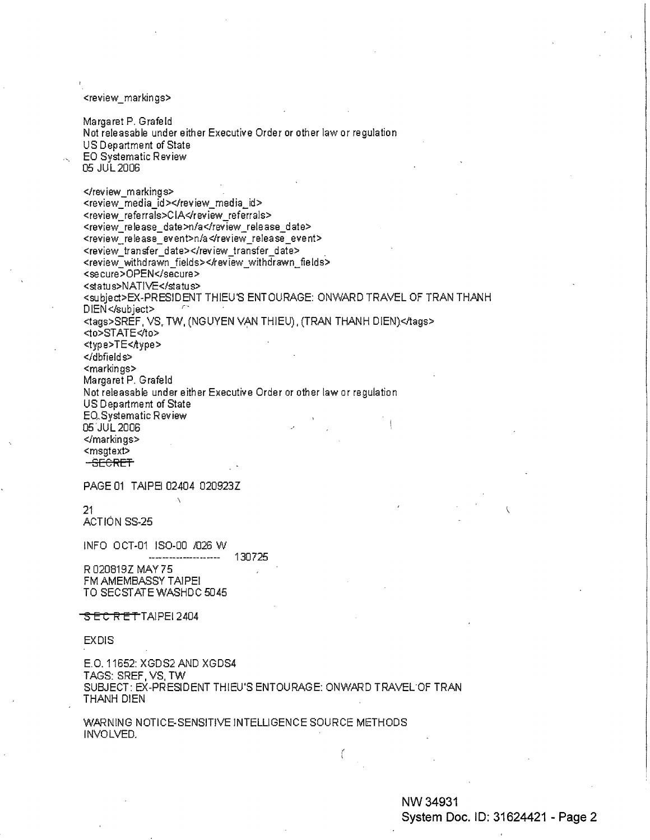<review\_markings>

Margaret P. Grafe **Id**  Not rele asab le under either Executive Order or other law or regulation US Department of State EO Systematic Review 05 JUL2006

</review\_markings> <review\_media\_id></review\_media\_id> <review referrals>CIA</review referrals> <review\_release\_date>n/a</review\_release\_date> <review\_release\_event>n/a </review\_release\_event> <review\_transfer\_date></review\_transfer\_date> <review\_withdrawn\_fields></review\_withdrawn\_fields> <secure>OPEN</secure> <status>NATIVE</status> <subject>EX-PRESIDENT THIEU'S ENTOURAGE: ONWARD TRAVEL OF TRAN THANH DIEN</subject> <tags>SREF, VS, TW, (NGUYEN VAN THIEU), (TRAN THANH DIEN)</tags> <to>STATE</to> <type>TE<Aype> </dbfield s> <markings> Margaret **P.** Grafeld Not releasable under either Executive Order or other law or regulation US Department of State EO~Systematic Review 05'JUL2006 </markings> <msgtext> **SECRET** 

PAGE 01 TAIPEI 02404 020923Z

21

ACTIÓN SS-25

INFO OCT-01 IS0-00 /026 W 130725 ----------------------

R020819Z MAY75 FM AMEMBASSY TAIPEI TO SECSTATE WASHDC 5045

## SECRETTAIPEI 2404

EXDIS

E.O. 11652: XGDS2 AND XGDS4 TAGS: SREF, VS, TW SUBJECT: EX-PRESIDENT THIEU'S ENTOURAGE: ONWARD TRAVEL.OF TRAN THANH DIEN

WARNING NOTICE-SENSITIVE INTELLIGENCE SOURCE METHODS INVOLVED.

## **NW34931 System Doc. ID: 31624421 - Page 2**